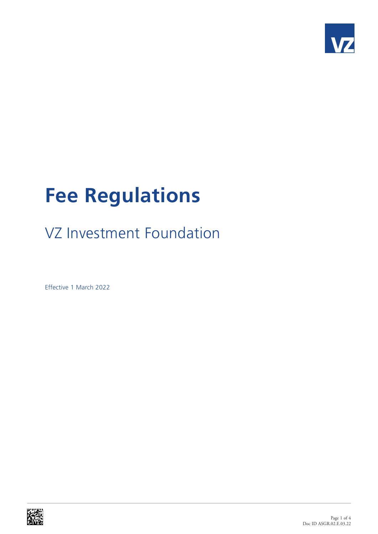

## **Fee Regulations**

## VZ Investment Foundation

Effective 1 March 2022

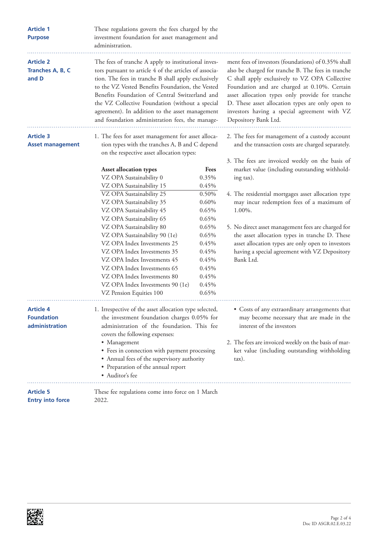| <b>Article 1</b><br><b>Purpose</b>               | These regulations govern the fees charged by the<br>investment foundation for asset management and<br>administration.                                                                                                                                                                                                                                                                                                                                                                       |                                                                                                                                             |                                                                                                                                                                                                                                                                                                                                                                                                                                                       |  |
|--------------------------------------------------|---------------------------------------------------------------------------------------------------------------------------------------------------------------------------------------------------------------------------------------------------------------------------------------------------------------------------------------------------------------------------------------------------------------------------------------------------------------------------------------------|---------------------------------------------------------------------------------------------------------------------------------------------|-------------------------------------------------------------------------------------------------------------------------------------------------------------------------------------------------------------------------------------------------------------------------------------------------------------------------------------------------------------------------------------------------------------------------------------------------------|--|
| <b>Article 2</b><br>Tranches A, B, C<br>and D    | The fees of tranche A apply to institutional inves-<br>tors pursuant to article 4 of the articles of associa-<br>tion. The fees in tranche B shall apply exclusively<br>to the VZ Vested Benefits Foundation, the Vested<br>Benefits Foundation of Central Switzerland and<br>the VZ Collective Foundation (without a special<br>agreement). In addition to the asset management<br>and foundation administration fees, the manage-                                                         |                                                                                                                                             | ment fees of investors (foundations) of 0.35% shall<br>also be charged for tranche B. The fees in tranche<br>C shall apply exclusively to VZ OPA Collective<br>Foundation and are charged at 0.10%. Certain<br>asset allocation types only provide for tranche<br>D. These asset allocation types are only open to<br>investors having a special agreement with VZ<br>Depository Bank Ltd.                                                            |  |
| <b>Article 3</b><br><b>Asset management</b>      | 1. The fees for asset management for asset alloca-<br>tion types with the tranches A, B and C depend<br>on the respective asset allocation types:                                                                                                                                                                                                                                                                                                                                           |                                                                                                                                             | 2. The fees for management of a custody account<br>and the transaction costs are charged separately.                                                                                                                                                                                                                                                                                                                                                  |  |
|                                                  | <b>Asset allocation types</b><br>VZ OPA Sustainability 0<br>VZ OPA Sustainability 15<br>VZ OPA Sustainability 25<br>VZ OPA Sustainability 35<br>VZ OPA Sustainability 45<br>VZ OPA Sustainability 65<br>VZ OPA Sustainability 80<br>VZ OPA Sustainability 90 (1e)<br>VZ OPA Index Investments 25<br>VZ OPA Index Investments 35<br>VZ OPA Index Investments 45<br>VZ OPA Index Investments 65<br>VZ OPA Index Investments 80<br>VZ OPA Index Investments 90 (1e)<br>VZ Pension Equities 100 | Fees<br>0.35%<br>0.45%<br>0.50%<br>0.60%<br>0.65%<br>0.65%<br>0.65%<br>0.65%<br>0.45%<br>0.45%<br>0.45%<br>0.45%<br>0.45%<br>0.45%<br>0.65% | 3. The fees are invoiced weekly on the basis of<br>market value (including outstanding withhold-<br>ing tax).<br>4. The residential mortgages asset allocation type<br>may incur redemption fees of a maximum of<br>1.00%.<br>5. No direct asset management fees are charged for<br>the asset allocation types in tranche D. These<br>asset allocation types are only open to investors<br>having a special agreement with VZ Depository<br>Bank Ltd. |  |
| Article 4<br><b>Foundation</b><br>administration | 1. Irrespective of the asset allocation type selected,<br>the investment foundation charges 0.05% for<br>administration of the foundation. This fee<br>covers the following expenses:<br>• Management<br>• Fees in connection with payment processing<br>• Annual fees of the supervisory authority<br>• Preparation of the annual report<br>• Auditor's fee                                                                                                                                |                                                                                                                                             | • Costs of any extraordinary arrangements that<br>may become necessary that are made in the<br>interest of the investors<br>2. The fees are invoiced weekly on the basis of mar-<br>ket value (including outstanding withholding<br>$\max$ .                                                                                                                                                                                                          |  |
| <b>Article 5</b><br><b>Entry into force</b>      | These fee regulations come into force on 1 March<br>2022.                                                                                                                                                                                                                                                                                                                                                                                                                                   |                                                                                                                                             |                                                                                                                                                                                                                                                                                                                                                                                                                                                       |  |

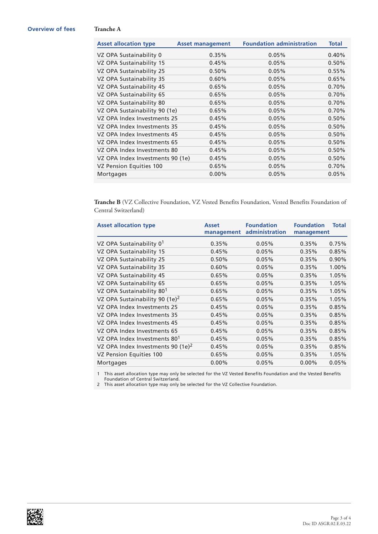## **Overview of fees Tranche A**

| <b>Asset allocation type</b>     | <b>Asset management</b> | <b>Foundation administration</b> | Total    |
|----------------------------------|-------------------------|----------------------------------|----------|
| VZ OPA Sustainability 0          | 0.35%                   | 0.05%                            | $0.40\%$ |
| VZ OPA Sustainability 15         | 0.45%                   | 0.05%                            | 0.50%    |
| VZ OPA Sustainability 25         | 0.50%                   | 0.05%                            | 0.55%    |
| VZ OPA Sustainability 35         | 0.60%                   | 0.05%                            | 0.65%    |
| VZ OPA Sustainability 45         | 0.65%                   | 0.05%                            | 0.70%    |
| VZ OPA Sustainability 65         | 0.65%                   | 0.05%                            | 0.70%    |
| VZ OPA Sustainability 80         | 0.65%                   | 0.05%                            | 0.70%    |
| VZ OPA Sustainability 90 (1e)    | 0.65%                   | 0.05%                            | 0.70%    |
| VZ OPA Index Investments 25      | 0.45%                   | 0.05%                            | 0.50%    |
| VZ OPA Index Investments 35      | 0.45%                   | 0.05%                            | 0.50%    |
| VZ OPA Index Investments 45      | 0.45%                   | 0.05%                            | 0.50%    |
| VZ OPA Index Investments 65      | 0.45%                   | 0.05%                            | 0.50%    |
| VZ OPA Index Investments 80      | 0.45%                   | 0.05%                            | 0.50%    |
| VZ OPA Index Investments 90 (1e) | 0.45%                   | 0.05%                            | 0.50%    |
| VZ Pension Equities 100          | 0.65%                   | 0.05%                            | 0.70%    |
| Mortgages                        | $0.00\%$                | 0.05%                            | 0.05%    |

**Tranche B** (VZ Collective Foundation, VZ Vested Benefits Foundation, Vested Benefits Foundation of Central Switzerland)

| <b>Asset allocation type</b>               | <b>Asset</b><br>management | <b>Foundation</b><br>administration | <b>Foundation</b><br>management | <b>Total</b> |
|--------------------------------------------|----------------------------|-------------------------------------|---------------------------------|--------------|
| VZ OPA Sustainability 0 <sup>1</sup>       | 0.35%                      | 0.05%                               | 0.35%                           | 0.75%        |
| VZ OPA Sustainability 15                   | 0.45%                      | 0.05%                               | 0.35%                           | 0.85%        |
| VZ OPA Sustainability 25                   | 0.50%                      | 0.05%                               | 0.35%                           | 0.90%        |
| VZ OPA Sustainability 35                   | 0.60%                      | 0.05%                               | 0.35%                           | 1.00%        |
| VZ OPA Sustainability 45                   | 0.65%                      | 0.05%                               | 0.35%                           | 1.05%        |
| VZ OPA Sustainability 65                   | 0.65%                      | 0.05%                               | 0.35%                           | 1.05%        |
| VZ OPA Sustainability 80 <sup>1</sup>      | 0.65%                      | 0.05%                               | 0.35%                           | 1.05%        |
| VZ OPA Sustainability 90 (1e) <sup>2</sup> | 0.65%                      | 0.05%                               | 0.35%                           | 1.05%        |
| VZ OPA Index Investments 25                | 0.45%                      | 0.05%                               | 0.35%                           | 0.85%        |
| VZ OPA Index Investments 35                | 0.45%                      | 0.05%                               | 0.35%                           | 0.85%        |
| VZ OPA Index Investments 45                | 0.45%                      | 0.05%                               | 0.35%                           | 0.85%        |
| VZ OPA Index Investments 65                | 0.45%                      | 0.05%                               | 0.35%                           | 0.85%        |
| VZ OPA Index Investments 80 <sup>1</sup>   | 0.45%                      | 0.05%                               | 0.35%                           | 0.85%        |
| VZ OPA Index Investments 90 $(1e)^2$       | 0.45%                      | 0.05%                               | 0.35%                           | 0.85%        |
| VZ Pension Equities 100                    | 0.65%                      | 0.05%                               | 0.35%                           | 1.05%        |
| Mortgages                                  | $0.00\%$                   | 0.05%                               | $0.00\%$                        | 0.05%        |

1 This asset allocation type may only be selected for the VZ Vested Benefits Foundation and the Vested Benefits Foundation of Central Switzerland.

2 This asset allocation type may only be selected for the VZ Collective Foundation.